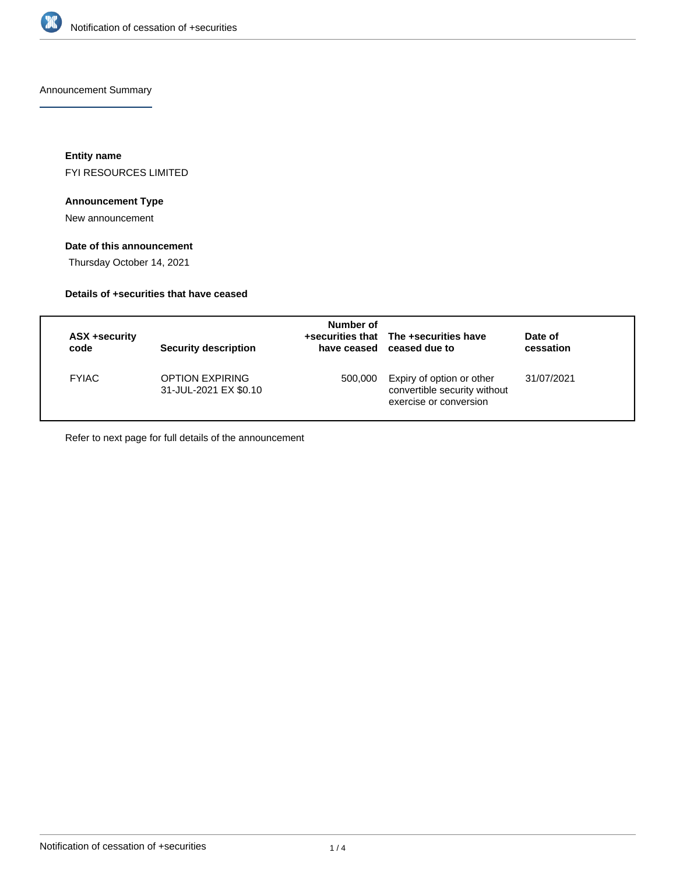

Announcement Summary

**Entity name** FYI RESOURCES LIMITED

## **Announcement Type**

New announcement

## **Date of this announcement**

Thursday October 14, 2021

## **Details of +securities that have ceased**

| ASX +security<br>code | <b>Security description</b>                     | Number of | +securities that The +securities have<br>have ceased ceased due to                  | Date of<br>cessation |
|-----------------------|-------------------------------------------------|-----------|-------------------------------------------------------------------------------------|----------------------|
| <b>FYIAC</b>          | <b>OPTION EXPIRING</b><br>31-JUL-2021 EX \$0.10 | 500,000   | Expiry of option or other<br>convertible security without<br>exercise or conversion | 31/07/2021           |

Refer to next page for full details of the announcement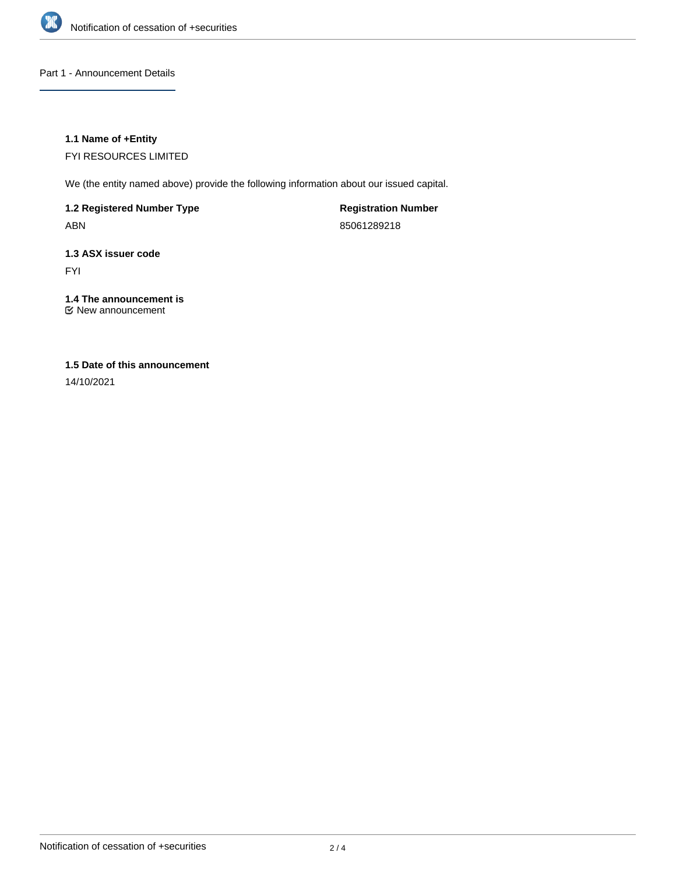

### Part 1 - Announcement Details

## **1.1 Name of +Entity**

FYI RESOURCES LIMITED

We (the entity named above) provide the following information about our issued capital.

**1.2 Registered Number Type**

ABN

**Registration Number** 85061289218

## **1.3 ASX issuer code**

FYI

## **1.4 The announcement is**

New announcement

## **1.5 Date of this announcement**

14/10/2021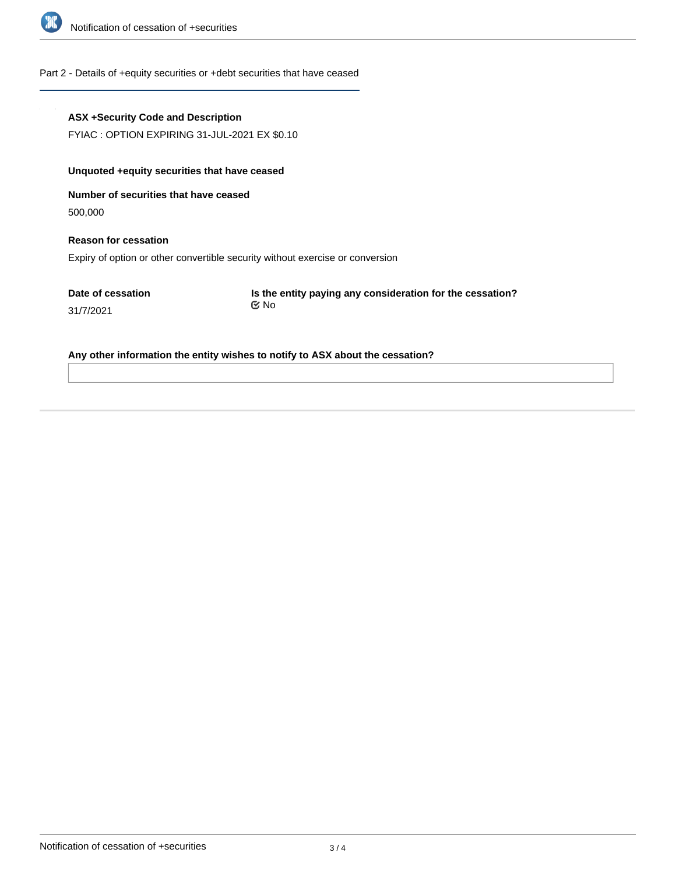

### Part 2 - Details of +equity securities or +debt securities that have ceased

# **ASX +Security Code and Description** FYIAC : OPTION EXPIRING 31-JUL-2021 EX \$0.10 **Unquoted +equity securities that have ceased**

**Number of securities that have ceased** 500,000

**Reason for cessation**

Expiry of option or other convertible security without exercise or conversion

**Date of cessation** 31/7/2021

**Is the entity paying any consideration for the cessation?** No

**Any other information the entity wishes to notify to ASX about the cessation?**